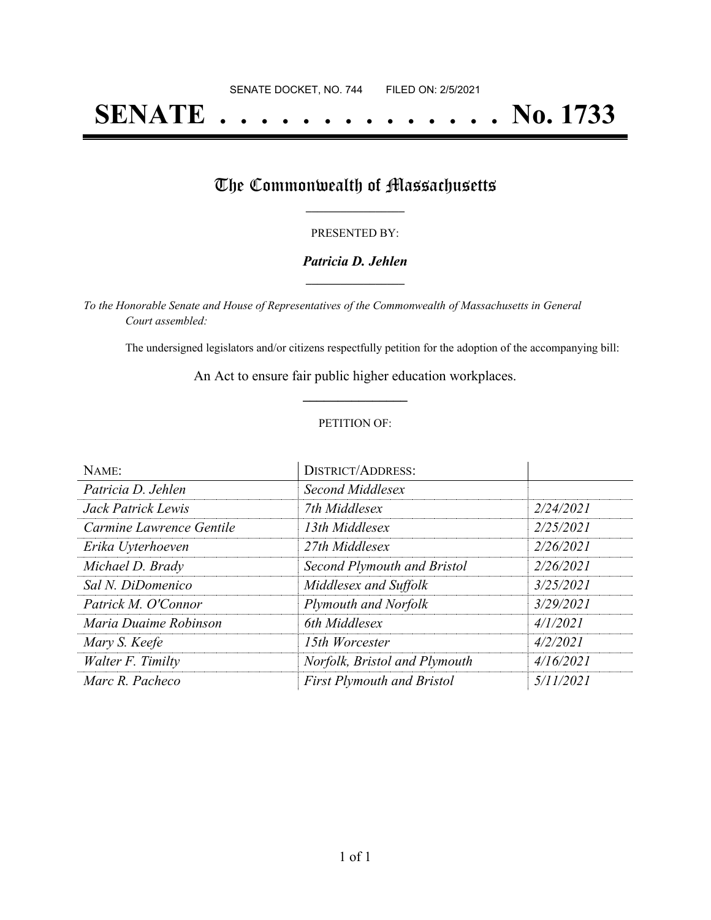# **SENATE . . . . . . . . . . . . . . No. 1733**

## The Commonwealth of Massachusetts

#### PRESENTED BY:

#### *Patricia D. Jehlen* **\_\_\_\_\_\_\_\_\_\_\_\_\_\_\_\_\_**

*To the Honorable Senate and House of Representatives of the Commonwealth of Massachusetts in General Court assembled:*

The undersigned legislators and/or citizens respectfully petition for the adoption of the accompanying bill:

An Act to ensure fair public higher education workplaces. **\_\_\_\_\_\_\_\_\_\_\_\_\_\_\_**

#### PETITION OF:

| NAME:                    | <b>DISTRICT/ADDRESS:</b>          |           |
|--------------------------|-----------------------------------|-----------|
| Patricia D. Jehlen       | Second Middlesex                  |           |
| Jack Patrick Lewis       | 7th Middlesex                     | 2/24/2021 |
| Carmine Lawrence Gentile | 13th Middlesex                    | 2/25/2021 |
| Erika Uyterhoeven        | 27th Middlesex                    | 2/26/2021 |
| Michael D. Brady         | Second Plymouth and Bristol       | 2/26/2021 |
| Sal N. DiDomenico        | Middlesex and Suffolk             | 3/25/2021 |
| Patrick M. O'Connor      | <b>Plymouth and Norfolk</b>       | 3/29/2021 |
| Maria Duaime Robinson    | 6th Middlesex                     | 4/1/2021  |
| Mary S. Keefe            | 15th Worcester                    | 4/2/2021  |
| Walter F. Timilty        | Norfolk, Bristol and Plymouth     | 4/16/2021 |
| Marc R. Pacheco          | <b>First Plymouth and Bristol</b> | 5/11/2021 |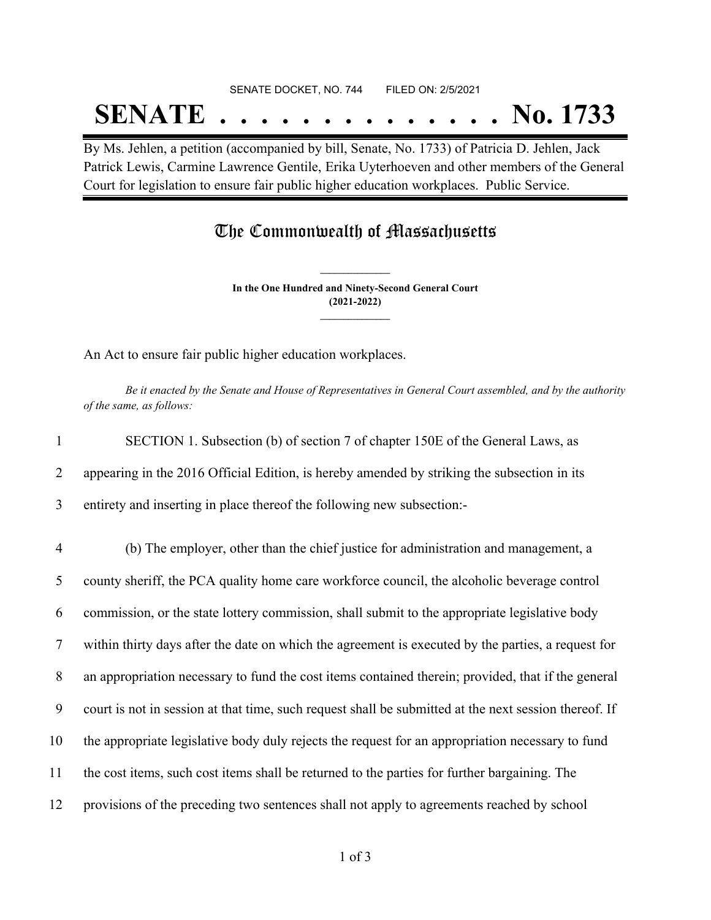#### SENATE DOCKET, NO. 744 FILED ON: 2/5/2021

## **SENATE . . . . . . . . . . . . . . No. 1733**

By Ms. Jehlen, a petition (accompanied by bill, Senate, No. 1733) of Patricia D. Jehlen, Jack Patrick Lewis, Carmine Lawrence Gentile, Erika Uyterhoeven and other members of the General Court for legislation to ensure fair public higher education workplaces. Public Service.

### The Commonwealth of Massachusetts

**In the One Hundred and Ninety-Second General Court (2021-2022) \_\_\_\_\_\_\_\_\_\_\_\_\_\_\_**

**\_\_\_\_\_\_\_\_\_\_\_\_\_\_\_**

An Act to ensure fair public higher education workplaces.

Be it enacted by the Senate and House of Representatives in General Court assembled, and by the authority *of the same, as follows:*

1 SECTION 1. Subsection (b) of section 7 of chapter 150E of the General Laws, as 2 appearing in the 2016 Official Edition, is hereby amended by striking the subsection in its 3 entirety and inserting in place thereof the following new subsection:-

 (b) The employer, other than the chief justice for administration and management, a county sheriff, the PCA quality home care workforce council, the alcoholic beverage control commission, or the state lottery commission, shall submit to the appropriate legislative body within thirty days after the date on which the agreement is executed by the parties, a request for an appropriation necessary to fund the cost items contained therein; provided, that if the general court is not in session at that time, such request shall be submitted at the next session thereof. If the appropriate legislative body duly rejects the request for an appropriation necessary to fund the cost items, such cost items shall be returned to the parties for further bargaining. The provisions of the preceding two sentences shall not apply to agreements reached by school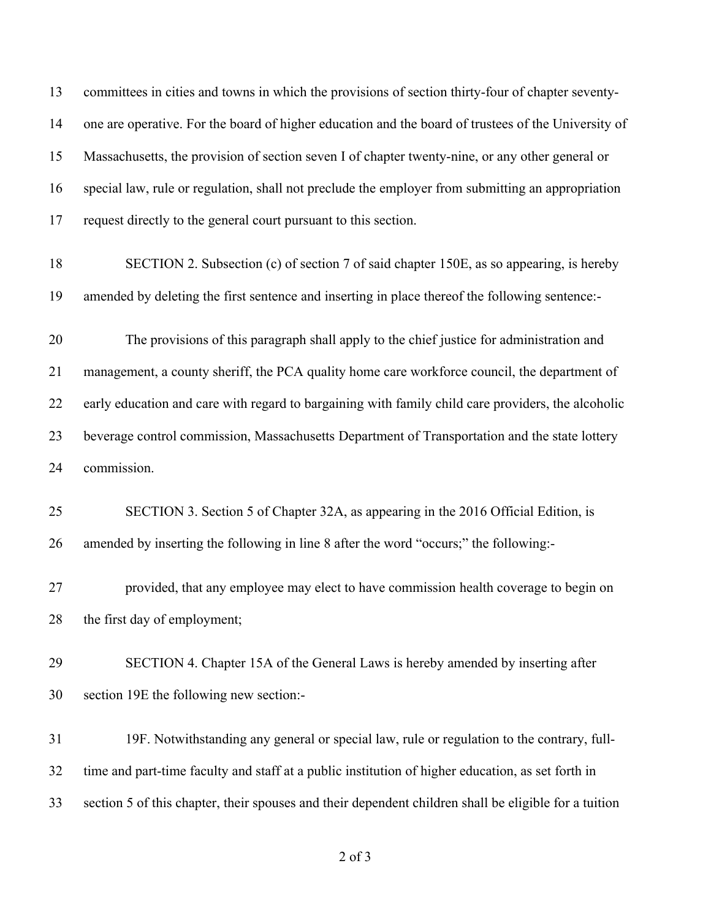committees in cities and towns in which the provisions of section thirty-four of chapter seventy- one are operative. For the board of higher education and the board of trustees of the University of Massachusetts, the provision of section seven I of chapter twenty-nine, or any other general or special law, rule or regulation, shall not preclude the employer from submitting an appropriation request directly to the general court pursuant to this section. SECTION 2. Subsection (c) of section 7 of said chapter 150E, as so appearing, is hereby amended by deleting the first sentence and inserting in place thereof the following sentence:- The provisions of this paragraph shall apply to the chief justice for administration and management, a county sheriff, the PCA quality home care workforce council, the department of early education and care with regard to bargaining with family child care providers, the alcoholic beverage control commission, Massachusetts Department of Transportation and the state lottery commission. SECTION 3. Section 5 of Chapter 32A, as appearing in the 2016 Official Edition, is amended by inserting the following in line 8 after the word "occurs;" the following:- provided, that any employee may elect to have commission health coverage to begin on the first day of employment; SECTION 4. Chapter 15A of the General Laws is hereby amended by inserting after section 19E the following new section:- 19F. Notwithstanding any general or special law, rule or regulation to the contrary, full-time and part-time faculty and staff at a public institution of higher education, as set forth in

section 5 of this chapter, their spouses and their dependent children shall be eligible for a tuition